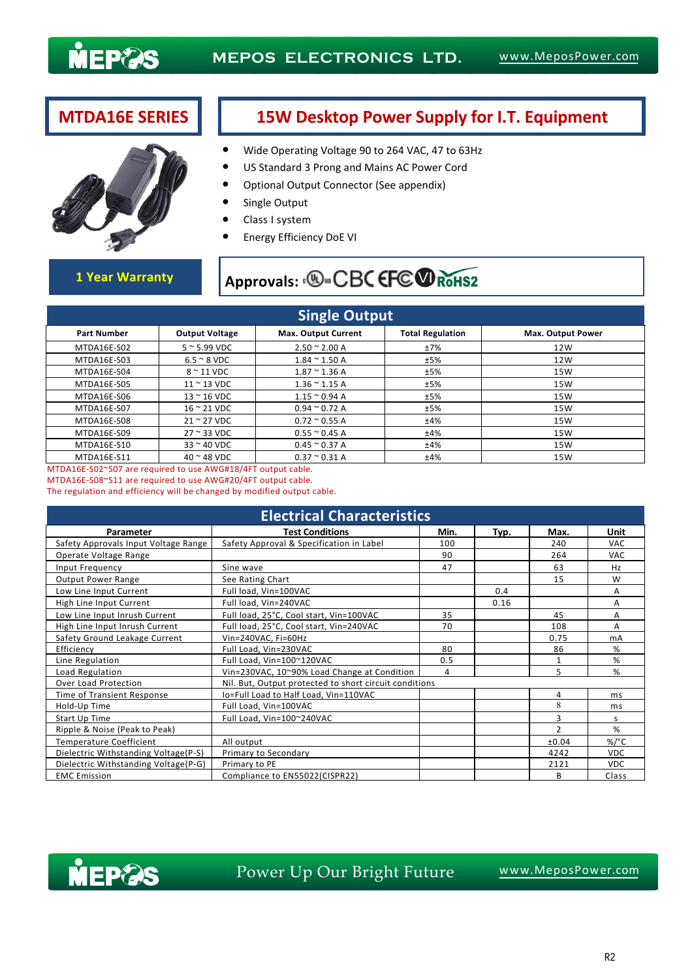



## **MTDA16E SERIES 15W Desktop Power Supply for I.T. Equipment**

- Wide Operating Voltage 90 to 264 VAC, 47 to 63Hz
- US Standard 3 Prong and Mains AC Power Cord
- Optional Output Connector (See appendix)
- Single Output
- Class I system
- Energy Efficiency DoE VI

# 1 Year Warranty **Approvals: <b>D**. CBC EFC RoHS2

| <b>Single Output</b> |                             |                            |                         |                   |  |  |  |  |  |
|----------------------|-----------------------------|----------------------------|-------------------------|-------------------|--|--|--|--|--|
| <b>Part Number</b>   | <b>Output Voltage</b>       | <b>Max. Output Current</b> | <b>Total Regulation</b> | Max. Output Power |  |  |  |  |  |
| MTDA16E-S02          | $5 \approx 5.99$ VDC        | $2.50 \approx 2.00 A$      | ±7%                     | 12W               |  |  |  |  |  |
| MTDA16E-S03          | $6.5 \approx 8$ VDC         | $1.84 \approx 1.50$ A      | ±5%                     | 12W               |  |  |  |  |  |
| MTDA16E-S04          | $8 \sim 11$ VDC             | $1.87 \approx 1.36$ A      | ±5%                     | 15W               |  |  |  |  |  |
| MTDA16E-S05          | $11 \approx 13$ VDC         | $1.36 \approx 1.15$ A      | ±5%                     | 15W               |  |  |  |  |  |
| MTDA16E-S06          | $13 \approx 16$ VDC         | $1.15 \approx 0.94$ A      | ±5%                     | 15W               |  |  |  |  |  |
| MTDA16E-S07          | $16 \approx 21$ VDC         | $0.94 \approx 0.72$ A      | ±5%                     | 15W               |  |  |  |  |  |
| MTDA16E-S08          | $21 \approx 27$ VDC         | $0.72 \approx 0.55$ A      | ±4%                     | 15W               |  |  |  |  |  |
| MTDA16E-S09          | $27 \approx 33 \text{ VDC}$ | $0.55 \approx 0.45$ A      | ±4%                     | 15W               |  |  |  |  |  |
| MTDA16E-S10          | $33 \approx 40$ VDC         | $0.45 \approx 0.37$ A      | ±4%                     | 15W               |  |  |  |  |  |
| MTDA16E-S11          | $40$ $\sim$ 48 VDC          | $0.37 \approx 0.31 A$      | ±4%                     | 15W               |  |  |  |  |  |

MTDA16E-S02~S07 are required to use AWG#18/4FT output cable. MTDA16E-S08~S11 are required to use AWG#20/4FT output cable.

The regulation and efficiency will be changed by modified output cable.

| <b>Electrical Characteristics</b>    |                                                        |      |      |               |            |  |  |  |  |
|--------------------------------------|--------------------------------------------------------|------|------|---------------|------------|--|--|--|--|
| Parameter                            | <b>Test Conditions</b>                                 | Min. | Typ. | Max.          | Unit       |  |  |  |  |
| Safety Approvals Input Voltage Range | Safety Approval & Specification in Label               | 100  |      | 240           | <b>VAC</b> |  |  |  |  |
| Operate Voltage Range                |                                                        | 90   |      | 264           | <b>VAC</b> |  |  |  |  |
| Input Frequency                      | Sine wave                                              | 47   |      | 63            | Hz         |  |  |  |  |
| <b>Output Power Range</b>            | See Rating Chart                                       |      |      | 15            | W          |  |  |  |  |
| Low Line Input Current               | Full load, Vin=100VAC                                  |      | 0.4  |               | A          |  |  |  |  |
| High Line Input Current              | Full load, Vin=240VAC                                  |      | 0.16 |               | Α          |  |  |  |  |
| Low Line Input Inrush Current        | Full load, 25°C, Cool start, Vin=100VAC                | 35   |      | 45            | Α          |  |  |  |  |
| High Line Input Inrush Current       | Full load, 25°C, Cool start, Vin=240VAC                | 70   |      | 108           | A          |  |  |  |  |
| Safety Ground Leakage Current        | Vin=240VAC, Fi=60Hz                                    |      |      | 0.75          | mA         |  |  |  |  |
| Efficiency                           | Full Load, Vin=230VAC                                  | 80   |      | 86            | %          |  |  |  |  |
| Line Regulation                      | Full Load, Vin=100~120VAC                              | 0.5  |      | 1             | %          |  |  |  |  |
| Load Regulation                      | Vin=230VAC, 10~90% Load Change at Condition            | 4    |      | 5             | %          |  |  |  |  |
| Over Load Protection                 | Nil. But, Output protected to short circuit conditions |      |      |               |            |  |  |  |  |
| Time of Transient Response           | Io=Full Load to Half Load, Vin=110VAC                  |      |      | 4             | ms         |  |  |  |  |
| Hold-Up Time                         | Full Load, Vin=100VAC                                  |      |      | 8             | ms         |  |  |  |  |
| Start Up Time                        | Full Load, Vin=100~240VAC                              |      |      | 3             | S          |  |  |  |  |
| Ripple & Noise (Peak to Peak)        |                                                        |      |      | $\mathcal{P}$ | %          |  |  |  |  |
| Temperature Coefficient              | All output                                             |      |      | ±0.04         | %/°C       |  |  |  |  |
| Dielectric Withstanding Voltage(P-S) | Primary to Secondary                                   |      |      | 4242          | <b>VDC</b> |  |  |  |  |
| Dielectric Withstanding Voltage(P-G) | Primary to PE                                          |      |      | 2121          | <b>VDC</b> |  |  |  |  |
| <b>EMC Emission</b>                  | Compliance to EN55022(CISPR22)                         |      |      | B             | Class      |  |  |  |  |



## Power Up Our Bright Future WWW.MeposPower.com